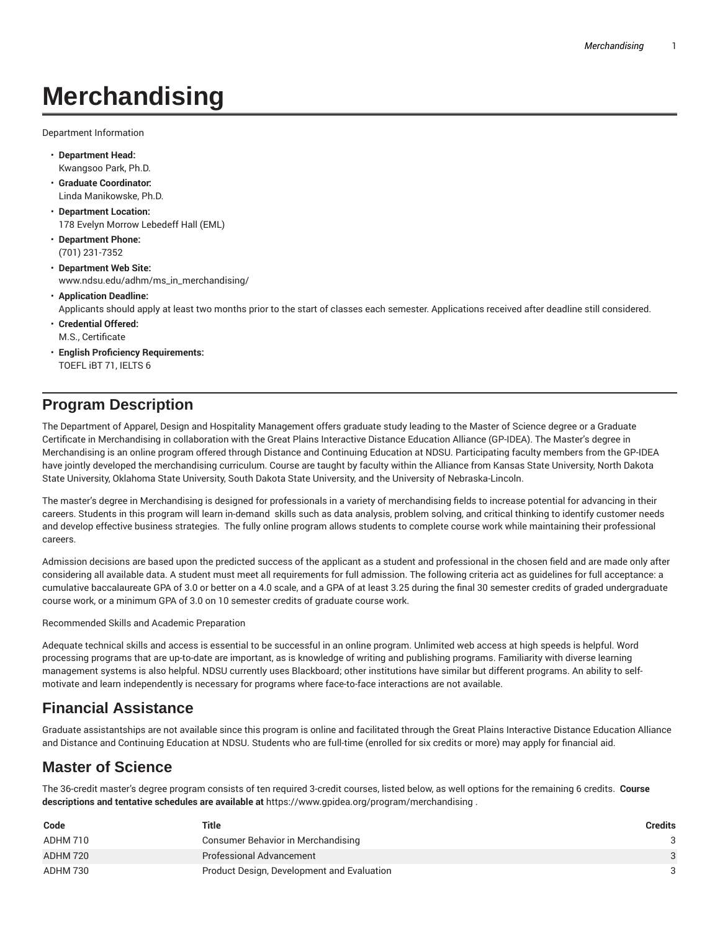# **Merchandising**

Department Information

- **Department Head:** Kwangsoo Park, Ph.D.
- **Graduate Coordinator:** Linda Manikowske, Ph.D.
- **Department Location:** 178 Evelyn Morrow Lebedeff Hall (EML)
- **Department Phone:** (701) 231-7352
- **Department Web Site:** www.ndsu.edu/adhm/ms\_in\_merchandising/
- **Application Deadline:** Applicants should apply at least two months prior to the start of classes each semester. Applications received after deadline still considered.
- **Credential Offered:** M.S., Certificate
- **English Proficiency Requirements:** TOEFL iBT 71, IELTS 6

## **Program Description**

The Department of Apparel, Design and Hospitality Management offers graduate study leading to the Master of Science degree or a Graduate Certificate in Merchandising in collaboration with the Great Plains Interactive Distance Education Alliance (GP-IDEA). The Master's degree in Merchandising is an online program offered through Distance and Continuing Education at NDSU. Participating faculty members from the GP-IDEA have jointly developed the merchandising curriculum. Course are taught by faculty within the Alliance from Kansas State University, North Dakota State University, Oklahoma State University, South Dakota State University, and the University of Nebraska-Lincoln.

The master's degree in Merchandising is designed for professionals in a variety of merchandising fields to increase potential for advancing in their careers. Students in this program will learn in-demand skills such as data analysis, problem solving, and critical thinking to identify customer needs and develop effective business strategies. The fully online program allows students to complete course work while maintaining their professional careers.

Admission decisions are based upon the predicted success of the applicant as a student and professional in the chosen field and are made only after considering all available data. A student must meet all requirements for full admission. The following criteria act as guidelines for full acceptance: a cumulative baccalaureate GPA of 3.0 or better on a 4.0 scale, and a GPA of at least 3.25 during the final 30 semester credits of graded undergraduate course work, or a minimum GPA of 3.0 on 10 semester credits of graduate course work.

Recommended Skills and Academic Preparation

Adequate technical skills and access is essential to be successful in an online program. Unlimited web access at high speeds is helpful. Word processing programs that are up-to-date are important, as is knowledge of writing and publishing programs. Familiarity with diverse learning management systems is also helpful. NDSU currently uses Blackboard; other institutions have similar but different programs. An ability to selfmotivate and learn independently is necessary for programs where face-to-face interactions are not available.

## **Financial Assistance**

Graduate assistantships are not available since this program is online and facilitated through the Great Plains Interactive Distance Education Alliance and Distance and Continuing Education at NDSU. Students who are full-time (enrolled for six credits or more) may apply for financial aid.

## **Master of Science**

The 36-credit master's degree program consists of ten required 3-credit courses, listed below, as well options for the remaining 6 credits. **Course descriptions and tentative schedules are available at** https://www.gpidea.org/program/merchandising .

| Code     | Title                                      | Credits |
|----------|--------------------------------------------|---------|
| ADHM 710 | Consumer Behavior in Merchandising         |         |
| ADHM 720 | Professional Advancement                   | 3       |
| ADHM 730 | Product Design, Development and Evaluation |         |